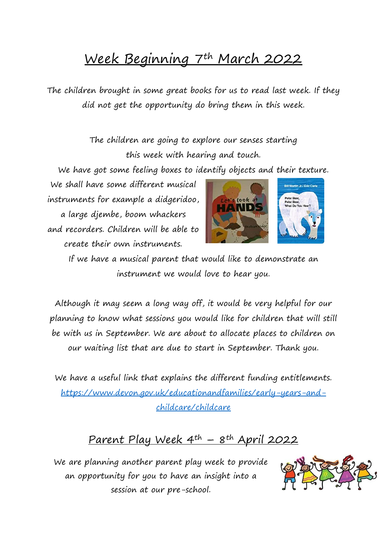## Week Beginning 7th March 2022

The children brought in some great books for us to read last week. If they did not get the opportunity do bring them in this week.

> The children are going to explore our senses starting this week with hearing and touch.

We have got some feeling boxes to identify objects and their texture.

We shall have some different musical instruments for example a didgeridoo, a large djembe, boom whackers and recorders. Children will be able to create their own instruments.



If we have a musical parent that would like to demonstrate an instrument we would love to hear you.

Although it may seem a long way off, it would be very helpful for our planning to know what sessions you would like for children that will still be with us in September. We are about to allocate places to children on our waiting list that are due to start in September. Thank you.

We have a useful link that explains the different funding entitlements. [https://www.devon.gov.uk/educationandfamilies/early-years-and](https://www.devon.gov.uk/educationandfamilies/early-years-and-childcare/childcare)[childcare/childcare](https://www.devon.gov.uk/educationandfamilies/early-years-and-childcare/childcare)

## Parent Play Week 4th – 8th April 2022

We are planning another parent play week to provide an opportunity for you to have an insight into a session at our pre-school.